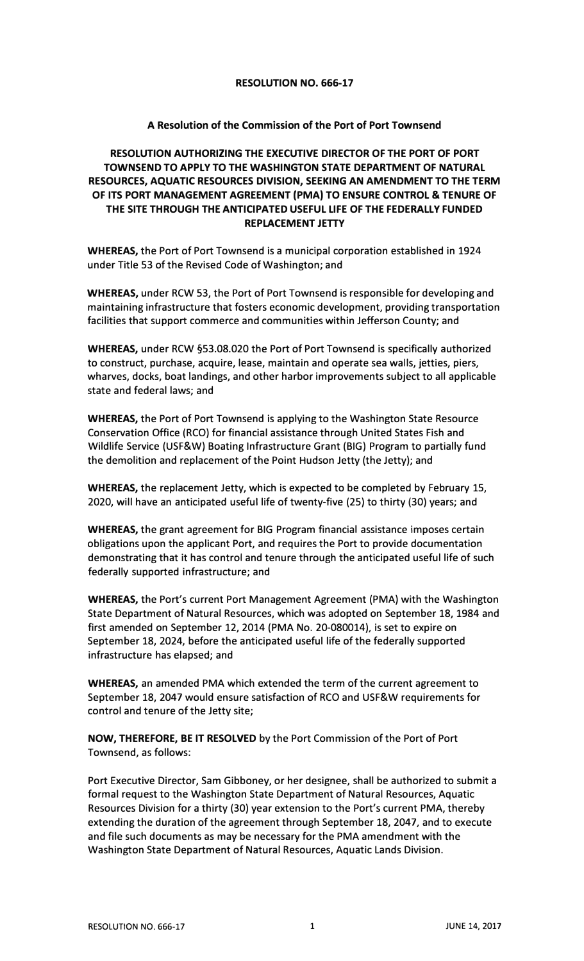## **RESOLUTION NO. 666-17**

## **A Resolution of the Commission of the Port of Port Townsend**

## **RESOLUTION AUTHORIZING THE EXECUTIVE DIRECTOR OF THE PORT OF PORT TOWNSEND TO APPLY TO THE WASHINGTON STATE DEPARTMENT OF NATURAL RESOURCES, AQUATIC RESOURCES DIVISION, SEEKING AN AMENDMENT TO THE TERM OF ITS PORT MANAGEMENT AGREEMENT (PMA) TO ENSURE CONTROL & TENURE OF THE SITE THROUGH THE ANTICIPATED USEFUL LIFE OF THE FEDERALLY FUNDED REPLACEMENT JETTY**

**WHEREAS,** the Port of Port Townsend is a municipal corporation established in 1924 under Title 53 of the Revised Code of Washington; and

**WHEREAS,** under RCW 53, the Port of Port Townsend is responsible for developing and maintaining infrastructure that fosters economic development, providing transportation facilities that support commerce and communities within Jefferson County; and

**WHEREAS,** under RCW §53.08.020 the Port of Port Townsend is specifically authorized to construct, purchase, acquire, lease, maintain and operate sea walls, jetties, piers, wharves, docks, boat landings, and other harbor improvements subject to all applicable state and federal laws; and

**WHEREAS,** the Port of Port Townsend is applying to the Washington State Resource Conservation Office (RCO) for financial assistance through United States Fish and Wildlife Service (USF&W) Boating Infrastructure Grant (BIG) Program to partially fund the demolition and replacement of the Point Hudson Jetty (the Jetty); and

**WHEREAS,** the replacement Jetty, which is expected to be completed by February 15, 2020, will have an anticipated useful life of twenty-five (25) to thirty (30} years; and

**WHEREAS,** the grant agreement for BIG Program financial assistance imposes certain obligations upon the applicant Port, and requires the Port to provide documentation demonstrating that it has control and tenure through the anticipated useful life of such federally supported infrastructure; and

**WHEREAS,** the Port's current Port Management Agreement (PMA) with the Washington State Department of Natural Resources, which was adopted on September 18, 1984 and first amended on September 12, 2014 (PMA No. 20-080014), is set to expire on September 18, 2024, before the anticipated useful life of the federally supported infrastructure has elapsed; and

**WHEREAS,** an amended PMA which extended the term of the current agreement to September 18, 2047 would ensure satisfaction of RCO and USF&W requirements for control and tenure of the Jetty site;

**NOW, THEREFORE, BE IT RESOLVED** by the Port Commission of the Port of Port Townsend, as follows:

Port Executive Director, Sam Gibboney, or her designee, shall be authorized to submit a formal request to the Washington State Department of Natural Resources, Aquatic Resources Division for a thirty (30) year extension to the Port's current PMA, thereby extending the duration of the agreement through September 18, 2047, and to execute and file such documents as may be necessary for the PMA amendment with the Washington State Department of Natural Resources, Aquatic Lands Division.